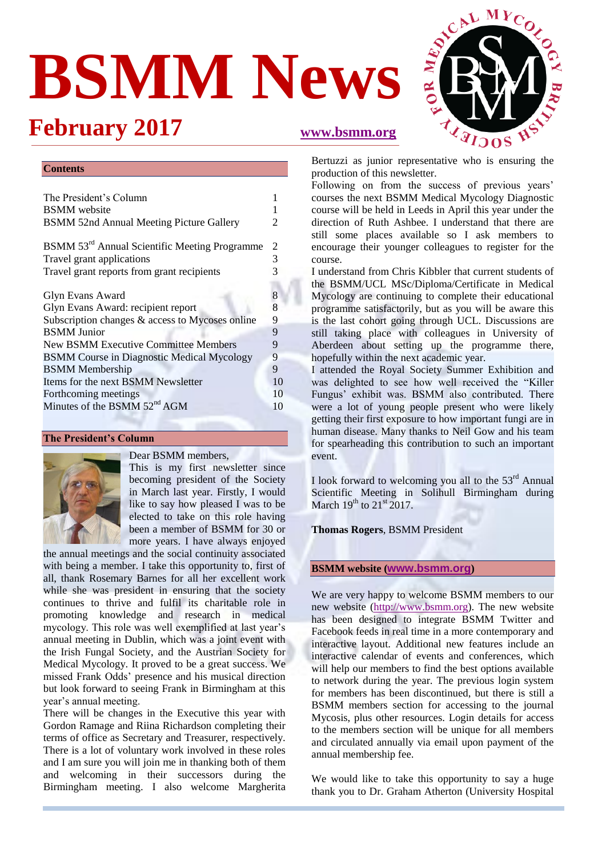# **BSMM News**

## **February 2017 [www.bsmm.org](http://new.bsmm.org/front/)**



#### **Contents**

| The President's Column                                    |                       |  |  |  |
|-----------------------------------------------------------|-----------------------|--|--|--|
| <b>BSMM</b> website                                       |                       |  |  |  |
| <b>BSMM 52nd Annual Meeting Picture Gallery</b>           | $\mathcal{D}_{\cdot}$ |  |  |  |
| BSMM 53 <sup>rd</sup> Annual Scientific Meeting Programme |                       |  |  |  |
| Travel grant applications                                 |                       |  |  |  |
| Travel grant reports from grant recipients                | 3                     |  |  |  |
| <b>Glyn Evans Award</b>                                   |                       |  |  |  |
| Glyn Evans Award: recipient report                        | $\frac{8}{8}$         |  |  |  |
| Subscription changes & access to Mycoses online           | 9                     |  |  |  |
| <b>BSMM</b> Junior                                        | 9                     |  |  |  |
| <b>New BSMM Executive Committee Members</b>               | 9                     |  |  |  |
| <b>BSMM Course in Diagnostic Medical Mycology</b>         |                       |  |  |  |
| <b>BSMM</b> Membership                                    | 9                     |  |  |  |
| Items for the next BSMM Newsletter                        | 10                    |  |  |  |
| Forthcoming meetings                                      | 10                    |  |  |  |
| Minutes of the BSMM 52 <sup>nd</sup> AGM                  | 10                    |  |  |  |

#### **The President's Column**



#### Dear BSMM members,

This is my first newsletter since becoming president of the Society in March last year. Firstly, I would like to say how pleased I was to be elected to take on this role having been a member of BSMM for 30 or more years. I have always enjoyed

the annual meetings and the social continuity associated with being a member. I take this opportunity to, first of all, thank Rosemary Barnes for all her excellent work while she was president in ensuring that the society continues to thrive and fulfil its charitable role in promoting knowledge and research in medical mycology. This role was well exemplified at last year's annual meeting in Dublin, which was a joint event with the Irish Fungal Society, and the Austrian Society for Medical Mycology. It proved to be a great success. We missed Frank Odds' presence and his musical direction but look forward to seeing Frank in Birmingham at this year's annual meeting.

There will be changes in the Executive this year with Gordon Ramage and Riina Richardson completing their terms of office as Secretary and Treasurer, respectively. There is a lot of voluntary work involved in these roles and I am sure you will join me in thanking both of them and welcoming in their successors during the Birmingham meeting. I also welcome Margherita Bertuzzi as junior representative who is ensuring the production of this newsletter.

Following on from the success of previous years' courses the next BSMM Medical Mycology Diagnostic course will be held in Leeds in April this year under the direction of Ruth Ashbee. I understand that there are still some places available so I ask members to encourage their younger colleagues to register for the course.

I understand from Chris Kibbler that current students of the BSMM/UCL MSc/Diploma/Certificate in Medical Mycology are continuing to complete their educational programme satisfactorily, but as you will be aware this is the last cohort going through UCL. Discussions are still taking place with colleagues in University of Aberdeen about setting up the programme there, hopefully within the next academic year.

I attended the Royal Society Summer Exhibition and was delighted to see how well received the "Killer Fungus' exhibit was. BSMM also contributed. There were a lot of young people present who were likely getting their first exposure to how important fungi are in human disease. Many thanks to Neil Gow and his team for spearheading this contribution to such an important event.

I look forward to welcoming you all to the  $53<sup>rd</sup>$  Annual Scientific Meeting in Solihull Birmingham during March  $19^{th}$  to  $21^{st}$  2017.

#### **Thomas Rogers**, BSMM President

#### **BSMM website ([www.bsmm.org](http://www.bsmm.org/))**

We are very happy to welcome BSMM members to our new website [\(http://www.bsmm.org\)](http://www.bsmm.org/). The new website has been designed to integrate BSMM Twitter and Facebook feeds in real time in a more contemporary and interactive layout. Additional new features include an interactive calendar of events and conferences, which will help our members to find the best options available to network during the year. The previous login system for members has been discontinued, but there is still a BSMM members section for accessing to the journal Mycosis, plus other resources. Login details for access to the members section will be unique for all members and circulated annually via email upon payment of the annual membership fee.

We would like to take this opportunity to say a huge thank you to Dr. Graham Atherton (University Hospital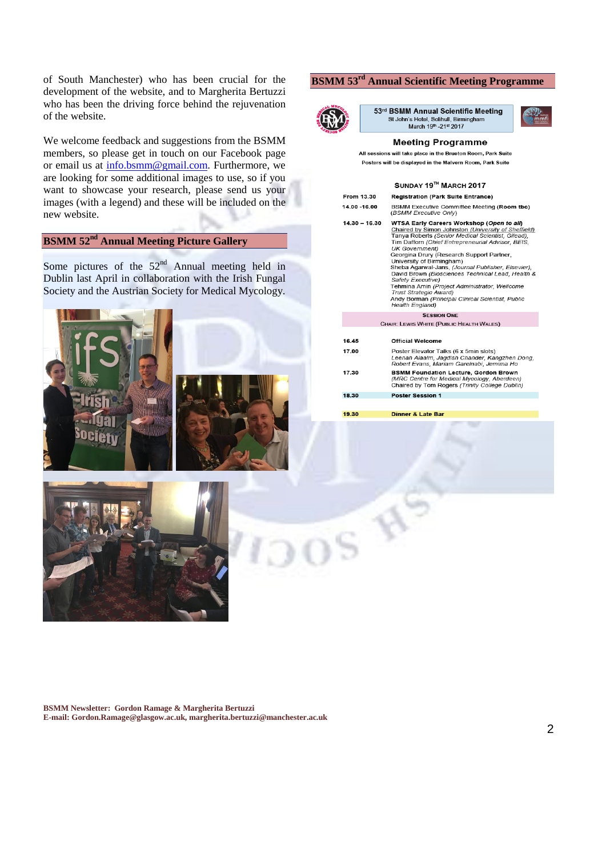of South Manchester) who has been crucial for the development of the website, and to Margherita Bertuzzi who has been the driving force behind the rejuvenation of the website.

We welcome feedback and suggestions from the BSMM members, so please get in touch on our Facebook page or email us at [info.bsmm@gmail.com.](mailto:info.bsmm@gmail.com) Furthermore, we are looking for some additional images to use, so if you want to showcase your research, please send us your images (with a legend) and these will be included on the new website.

### **BSMM 52nd Annual Meeting Picture Gallery**

Some pictures of the  $52<sup>nd</sup>$  Annual meeting held in Dublin last April in collaboration with the Irish Fungal Society and the Austrian Society for Medical Mycology.





#### **BSMM 53 rd Annual Scientific Meeting Programme**



53rd BSMM Annual Scientific Meeting St John's Hotel, Solihull, Birmingham<br>March 19<sup>th</sup> -21st 2017

#### **Meeting Programme**

will take place in the Brueton Room, Park Suite

| Posters will be displayed in the Malvern Room, Park Suite |                                                                                                                                                                                                                                                                                                                                                                                                                                                                                                                                                                                                                |  |  |  |
|-----------------------------------------------------------|----------------------------------------------------------------------------------------------------------------------------------------------------------------------------------------------------------------------------------------------------------------------------------------------------------------------------------------------------------------------------------------------------------------------------------------------------------------------------------------------------------------------------------------------------------------------------------------------------------------|--|--|--|
| SUNDAY 19TH MARCH 2017                                    |                                                                                                                                                                                                                                                                                                                                                                                                                                                                                                                                                                                                                |  |  |  |
| From 13.30                                                | <b>Registration (Park Suite Entrance)</b>                                                                                                                                                                                                                                                                                                                                                                                                                                                                                                                                                                      |  |  |  |
| 14.00 -16.00                                              | BSMM Executive Committee Meeting (Room tbc)<br>(BSMM Executive Only)                                                                                                                                                                                                                                                                                                                                                                                                                                                                                                                                           |  |  |  |
| $14.30 - 16.30$                                           | WTSA Early Careers Workshop (Open to all)<br>Chaired by Simon Johnston (University of Sheffield)<br>Tanya Roberts (Senior Medical Scientist, Gilead),<br>Tim Dafforn (Chief Entrepreneurial Advisor, BEIS,<br><b>UK Government)</b><br>Georgina Drury (Research Support Partner,<br>University of Birmingham)<br>Sheba Agarwal-Jans, (Journal Publisher, Elsevier),<br>David Brown (Biosciences Technical Lead, Health &<br>Safety Executive)<br>Tehmina Amin (Project Administrator, Wellcome<br><b>Trust Strategic Award)</b><br>Andy Borman (Principal Clinical Scientist, Public<br><b>Health England)</b> |  |  |  |
| <b>SESSION ONE</b>                                        |                                                                                                                                                                                                                                                                                                                                                                                                                                                                                                                                                                                                                |  |  |  |
| CHAIR: LEWIS WHITE (PUBLIC HEALTH WALES)                  |                                                                                                                                                                                                                                                                                                                                                                                                                                                                                                                                                                                                                |  |  |  |
| 16.45                                                     | <b>Official Welcome</b>                                                                                                                                                                                                                                                                                                                                                                                                                                                                                                                                                                                        |  |  |  |
| 17.00                                                     | Poster Elevator Talks (6 x 5min slots)<br>Leenah Alaalm, Jagdish Chander, Kangzhen Dong,<br>Robert Evans, Mariam Garelnabi, Jemima Ho                                                                                                                                                                                                                                                                                                                                                                                                                                                                          |  |  |  |
| 17.30                                                     | <b>BSMM Foundation Lecture, Gordon Brown</b><br>(MRC Centre for Medical Mycology, Aberdeen)<br>Chaired by Tom Rogers (Trinity College Dublin)                                                                                                                                                                                                                                                                                                                                                                                                                                                                  |  |  |  |
| 18.30                                                     | <b>Poster Session 1</b>                                                                                                                                                                                                                                                                                                                                                                                                                                                                                                                                                                                        |  |  |  |
|                                                           |                                                                                                                                                                                                                                                                                                                                                                                                                                                                                                                                                                                                                |  |  |  |
| 19.30                                                     | <b>Dinner &amp; Late Bar</b>                                                                                                                                                                                                                                                                                                                                                                                                                                                                                                                                                                                   |  |  |  |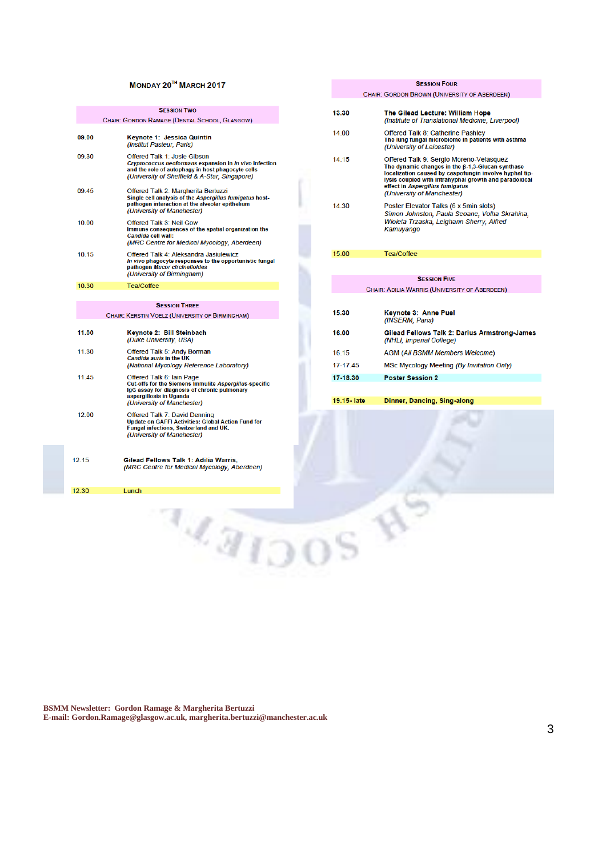#### MONDAY 20TH MARCH 2017

|                      | <b>SESSION TWO</b>                                                                                                                                                                                  |  |  |  |
|----------------------|-----------------------------------------------------------------------------------------------------------------------------------------------------------------------------------------------------|--|--|--|
|                      | CHAIR: GORDON RAMAGE (DENTAL SCHOOL, GLASGOW)                                                                                                                                                       |  |  |  |
| 09.00                | Keynote 1: Jessica Quintin<br>(Institut Pasteur, Paris)                                                                                                                                             |  |  |  |
| 09.30                | <b>Offered Talk 1: Josie Gibson</b><br>Cryptococcus neoformans expansion in in vivo infection<br>and the role of autophagy in host phagocyte cells<br>(University of Sheffield & A-Star, Singapore) |  |  |  |
| 09.45                | Offered Talk 2: Margherita Bertuzzi<br>Single cell analysis of the Aspergillus fumigatus host-<br>pathogen interaction at the alveolar epithelium<br>(University of Manchester)                     |  |  |  |
| 10.00                | <b>Offered Talk 3: Neil Gow</b><br>Immune consequences of the spatial organization the<br>Candida cell wall:<br>(MRC Centre for Medical Mycology, Aberdeen)                                         |  |  |  |
| 10.15                | Offered Talk 4: Aleksandra Jasiulewicz<br>In vivo phagocyte responses to the opportunistic fungal<br>pathogen Mucor circinelloides<br>(University of Birmingham)                                    |  |  |  |
| 10.30                | Tea/Coffee                                                                                                                                                                                          |  |  |  |
|                      |                                                                                                                                                                                                     |  |  |  |
| <b>SESSION THREE</b> |                                                                                                                                                                                                     |  |  |  |
|                      | CHAIR: KERSTIN VOELZ (UNIVERSITY OF BIRMINGHAM)                                                                                                                                                     |  |  |  |
| 11.00                | Keynote 2: Bill Steinbach<br>(Duke University, USA)                                                                                                                                                 |  |  |  |
| 11.30                | <b>Offered Talk 5: Andy Borman</b><br><b>Candida auris in the UK</b><br>(National Mycology Reference Laboratory)                                                                                    |  |  |  |
| 11.45                | <b>Offered Talk 6: Iain Page</b><br>Cut-offs for the Siemens Immulite Aspergillus-specific<br>IgG assay for diagnosis of chronic pulmonary<br>aspergillosis in Uganda<br>(University of Manchester) |  |  |  |
| 12.00                | <b>Offered Talk 7: David Denning</b><br><b>Update on GAFFI Activities: Global Action Fund for</b><br><b>Fungal infections, Switzerland and UK.</b><br>(University of Manchester)                    |  |  |  |
|                      |                                                                                                                                                                                                     |  |  |  |

12.30

Lunch

|              | <b>SESSION FOUR</b>                                                                                                                                                                                                                                                             |
|--------------|---------------------------------------------------------------------------------------------------------------------------------------------------------------------------------------------------------------------------------------------------------------------------------|
|              | CHAIR: GORDON BROWN (UNIVERSITY OF ABERDEEN)                                                                                                                                                                                                                                    |
| 13.30        | The Gilead Lecture: William Hope<br>(Institute of Translational Medicine, Liverpool)                                                                                                                                                                                            |
| 14.00        | Offered Talk 8: Catherine Pashley<br>The lung fungal microbiome in patients with asthma<br>(University of Leicester)                                                                                                                                                            |
| 14 15        | Offered Talk 9: Sergio Moreno-Velasquez<br>The dynamic changes in the B-1.3-Glucan synthase<br>localization caused by caspofungin involve hyphal tip-<br>lysis coupled with intrahyphal growth and paradoxical<br>effect in Aspergillus fumigatus<br>(University of Manchester) |
| 14 30        | Poster Elevator Talks (6 x 5min slots)<br>Simon Johnston, Paula Seoane, Volha Skrahina,<br>Wioleta Trzaska, Leighann Sherry, Alfred<br>Kamuyango                                                                                                                                |
| 15.00        | Tea/Coffee                                                                                                                                                                                                                                                                      |
|              |                                                                                                                                                                                                                                                                                 |
|              | <b>SESSION FIVE</b>                                                                                                                                                                                                                                                             |
|              | CHAIR: ADILIA WARRIS (UNIVERSITY OF ABERDEEN)                                                                                                                                                                                                                                   |
|              |                                                                                                                                                                                                                                                                                 |
| 15.30        | Keynote 3: Anne Puel<br>(INSERM, Paris)                                                                                                                                                                                                                                         |
| 16.00        | Gilead Fellows Talk 2: Darius Armstrong-James<br>(NHLI, Imperial College)                                                                                                                                                                                                       |
| 16.15        | <b>AGM (All BSMM Members Welcome)</b>                                                                                                                                                                                                                                           |
| 17-17.45     | MSc Mycology Meeting (By Invitation Only)                                                                                                                                                                                                                                       |
| 17-18.30     | <b>Poster Session 2</b>                                                                                                                                                                                                                                                         |
|              |                                                                                                                                                                                                                                                                                 |
| 19.15 - late | Dinner, Dancing, Sing-along                                                                                                                                                                                                                                                     |
|              |                                                                                                                                                                                                                                                                                 |

**BSMM Newsletter: Gordon Ramage & Margherita Bertuzzi E-mail: Gordon.Ramage@glasgow.ac.uk, margherita.bertuzzi@manchester.ac.uk**

**LEATOOS**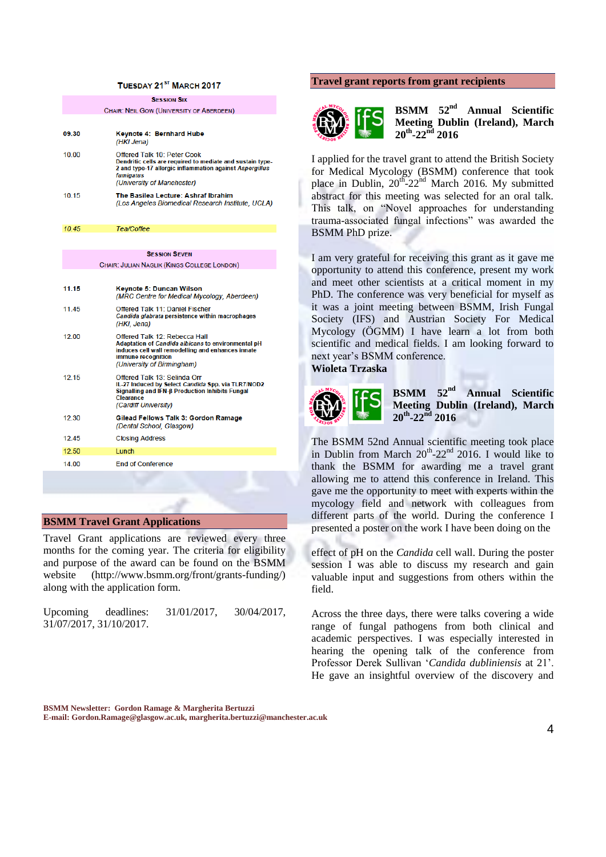#### TUESDAY 21<sup>ST</sup> MARCH 2017

**SESSION SIX CHAIR: NEIL GOW (UNIVERSITY OF ABERDEEN)** 09.30 Keynote 4: Bernhard Hube (HKI Jena) 10.00 Offered Talk 10: Peter Cook Dendritic cells are required to mediate and sustain type-2 and type-17 allergic inflammation against Aspergillus fumigatus (University of Manchester) 10.15 The Basilea Lecture: Ashraf Ibrahim (Los Angeles Biomedical Research Institute, UCLA) 10.45 Tea/Coffee **SESSION SEVEN** CHAIR: JULIAN NAGLIK (KINGS COLLEGE LONDON) 11.15 **Keynote 5: Duncan Wilson** (MRC Centre for Medical Mycology, Aberdeen) 11.45 Offered Talk 11: Daniel Fischer Candida glabrata persistence within macrophages (HKI, Jena)  $1200$ Offered Talk 12: Rebecca Hall Adaptation of Candida albicans to environmental pH induces cell wall remodelling and enhances innate immune recognition (University of Birmingham) 12.15 Offered Talk 13: Selinda Orr IL-27 Induced by Select Candida Spp. via TLR7/NOD2 IL-27 Induced by Select Candida Spp. via TLR7/<br>Signalling and IFN-β Production Inhibits Fungal<br>Clearance (Cardiff University) Gilead Fellows Talk 3: Gordon Ramage 12.30 (Dental School, Glasgow) 12.45 **Closing Address** 12.50 Lunch 14.00 **End of Conference** 

#### **BSMM Travel Grant Applications**

Travel Grant applications are reviewed every three months for the coming year. The criteria for eligibility and purpose of the award can be found on the BSMM website (http://www.bsmm.org/front/grants-funding/) along with the application form.

Upcoming deadlines: 31/01/2017, 30/04/2017, 31/07/2017, 31/10/2017.

#### **Travel grant reports from grant recipients**



**BSMM 52nd Annual Scientific Meeting Dublin (Ireland), March 20th -22nd 2016**

I applied for the travel grant to attend the British Society for Medical Mycology (BSMM) conference that took place in Dublin, 20<sup>th</sup>-22<sup>nd</sup> March 2016. My submitted abstract for this meeting was selected for an oral talk. This talk, on "Novel approaches for understanding trauma-associated fungal infections" was awarded the BSMM PhD prize.

I am very grateful for receiving this grant as it gave me opportunity to attend this conference, present my work and meet other scientists at a critical moment in my PhD. The conference was very beneficial for myself as it was a joint meeting between BSMM, Irish Fungal Society (IFS) and Austrian Society For Medical Mycology (ÖGMM) I have learn a lot from both scientific and medical fields. I am looking forward to next year's BSMM conference.

**Wioleta Trzaska**



**BSMM 52nd Annual Scientific Meeting Dublin (Ireland), March 20th -22nd 2016**

The BSMM 52nd Annual scientific meeting took place in Dublin from March  $20^{th}$ - $22^{nd}$  2016. I would like to thank the BSMM for awarding me a travel grant allowing me to attend this conference in Ireland. This gave me the opportunity to meet with experts within the mycology field and network with colleagues from different parts of the world. During the conference I presented a poster on the work I have been doing on the

effect of pH on the *Candida* cell wall. During the poster session I was able to discuss my research and gain valuable input and suggestions from others within the field.

Across the three days, there were talks covering a wide range of fungal pathogens from both clinical and academic perspectives. I was especially interested in hearing the opening talk of the conference from Professor Derek Sullivan '*Candida dubliniensis* at 21'. He gave an insightful overview of the discovery and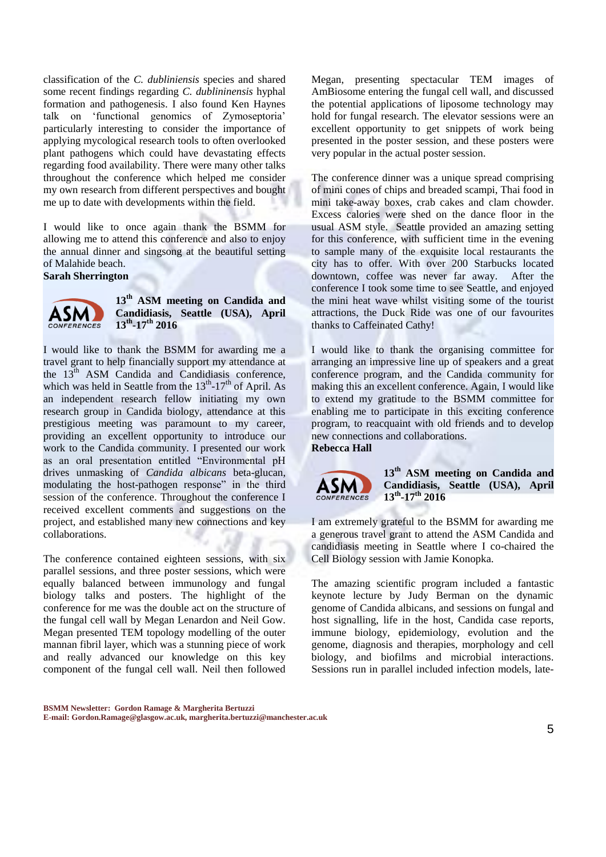classification of the *C. dubliniensis* species and shared some recent findings regarding *C. dublininensis* hyphal formation and pathogenesis. I also found Ken Haynes talk on 'functional genomics of Zymoseptoria' particularly interesting to consider the importance of applying mycological research tools to often overlooked plant pathogens which could have devastating effects regarding food availability. There were many other talks throughout the conference which helped me consider my own research from different perspectives and bought me up to date with developments within the field.

I would like to once again thank the BSMM for allowing me to attend this conference and also to enjoy the annual dinner and singsong at the beautiful setting of Malahide beach. **Sarah Sherrington**



#### **13th ASM meeting on Candida and Candidiasis, Seattle (USA), April 13th -17th 2016**

I would like to thank the BSMM for awarding me a travel grant to help financially support my attendance at the 13<sup>th</sup> ASM Candida and Candidiasis conference, which was held in Seattle from the  $13<sup>th</sup>$ -17<sup>th</sup> of April. As an independent research fellow initiating my own research group in Candida biology, attendance at this prestigious meeting was paramount to my career, providing an excellent opportunity to introduce our work to the Candida community. I presented our work as an oral presentation entitled "Environmental pH drives unmasking of *Candida albicans* beta-glucan, modulating the host-pathogen response" in the third session of the conference. Throughout the conference I received excellent comments and suggestions on the project, and established many new connections and key collaborations.

The conference contained eighteen sessions, with six parallel sessions, and three poster sessions, which were equally balanced between immunology and fungal biology talks and posters. The highlight of the conference for me was the double act on the structure of the fungal cell wall by Megan Lenardon and Neil Gow. Megan presented TEM topology modelling of the outer mannan fibril layer, which was a stunning piece of work and really advanced our knowledge on this key component of the fungal cell wall. Neil then followed Megan, presenting spectacular TEM images of AmBiosome entering the fungal cell wall, and discussed the potential applications of liposome technology may hold for fungal research. The elevator sessions were an excellent opportunity to get snippets of work being presented in the poster session, and these posters were very popular in the actual poster session.

The conference dinner was a unique spread comprising of mini cones of chips and breaded scampi, Thai food in mini take-away boxes, crab cakes and clam chowder. Excess calories were shed on the dance floor in the usual ASM style. Seattle provided an amazing setting for this conference, with sufficient time in the evening to sample many of the exquisite local restaurants the city has to offer. With over 200 Starbucks located downtown, coffee was never far away. After the conference I took some time to see Seattle, and enjoyed the mini heat wave whilst visiting some of the tourist attractions, the Duck Ride was one of our favourites thanks to Caffeinated Cathy!

I would like to thank the organising committee for arranging an impressive line up of speakers and a great conference program, and the Candida community for making this an excellent conference. Again, I would like to extend my gratitude to the BSMM committee for enabling me to participate in this exciting conference program, to reacquaint with old friends and to develop new connections and collaborations. **Rebecca Hall**



**13th ASM meeting on Candida and Candidiasis, Seattle (USA), April 13th -17th 2016**

I am extremely grateful to the BSMM for awarding me a generous travel grant to attend the ASM Candida and candidiasis meeting in Seattle where I co-chaired the Cell Biology session with Jamie Konopka.

The amazing scientific program included a fantastic keynote lecture by Judy Berman on the dynamic genome of Candida albicans, and sessions on fungal and host signalling, life in the host, Candida case reports, immune biology, epidemiology, evolution and the genome, diagnosis and therapies, morphology and cell biology, and biofilms and microbial interactions. Sessions run in parallel included infection models, late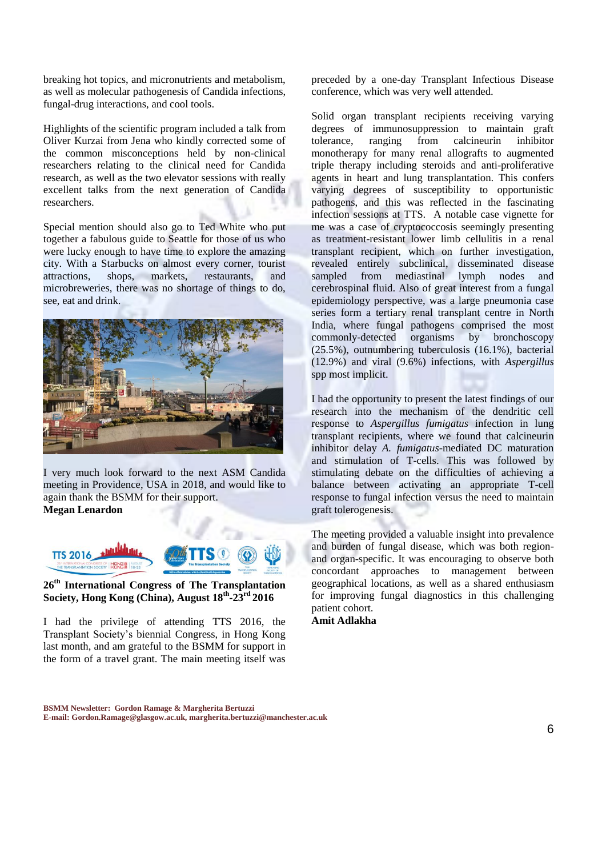breaking hot topics, and micronutrients and metabolism, as well as molecular pathogenesis of Candida infections, fungal-drug interactions, and cool tools.

Highlights of the scientific program included a talk from Oliver Kurzai from Jena who kindly corrected some of the common misconceptions held by non-clinical researchers relating to the clinical need for Candida research, as well as the two elevator sessions with really excellent talks from the next generation of Candida researchers.

Special mention should also go to Ted White who put together a fabulous guide to Seattle for those of us who were lucky enough to have time to explore the amazing city. With a Starbucks on almost every corner, tourist attractions, shops, markets, restaurants, and microbreweries, there was no shortage of things to do, see, eat and drink.



I very much look forward to the next ASM Candida meeting in Providence, USA in 2018, and would like to again thank the BSMM for their support. **Megan Lenardon**



#### **26th International Congress of The Transplantation Society, Hong Kong (China), August 18th -23rd 2016**

I had the privilege of attending TTS 2016, the Transplant Society's biennial Congress, in Hong Kong last month, and am grateful to the BSMM for support in the form of a travel grant. The main meeting itself was preceded by a one-day Transplant Infectious Disease conference, which was very well attended.

Solid organ transplant recipients receiving varying degrees of immunosuppression to maintain graft<br>tolerance, ranging from calcineurin inhibitor tolerance, ranging from calcineurin inhibitor monotherapy for many renal allografts to augmented triple therapy including steroids and anti-proliferative agents in heart and lung transplantation. This confers varying degrees of susceptibility to opportunistic pathogens, and this was reflected in the fascinating infection sessions at TTS. A notable case vignette for me was a case of cryptococcosis seemingly presenting as treatment-resistant lower limb cellulitis in a renal transplant recipient, which on further investigation, revealed entirely subclinical, disseminated disease sampled from mediastinal lymph nodes and cerebrospinal fluid. Also of great interest from a fungal epidemiology perspective, was a large pneumonia case series form a tertiary renal transplant centre in North India, where fungal pathogens comprised the most<br>commonly-detected organisms by bronchoscopy commonly-detected organisms (25.5%), outnumbering tuberculosis (16.1%), bacterial (12.9%) and viral (9.6%) infections, with *Aspergillus* spp most implicit.

I had the opportunity to present the latest findings of our research into the mechanism of the dendritic cell response to *Aspergillus fumigatus* infection in lung transplant recipients, where we found that calcineurin inhibitor delay *A. fumigatus*-mediated DC maturation and stimulation of T-cells. This was followed by stimulating debate on the difficulties of achieving a balance between activating an appropriate T-cell response to fungal infection versus the need to maintain graft tolerogenesis.

The meeting provided a valuable insight into prevalence and burden of fungal disease, which was both regionand organ-specific. It was encouraging to observe both concordant approaches to management between geographical locations, as well as a shared enthusiasm for improving fungal diagnostics in this challenging patient cohort.

**Amit Adlakha**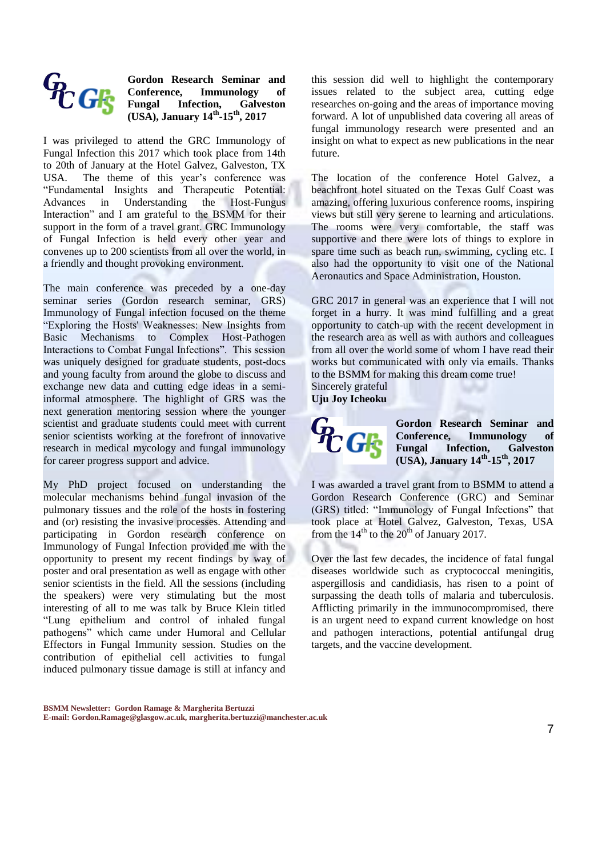

**Gordon Research Seminar and Conference, Immunology of Galveston (USA), January 14th -15th, 2017**

I was privileged to attend the GRC Immunology of Fungal Infection this 2017 which took place from 14th to 20th of January at the Hotel Galvez, Galveston, TX USA. The theme of this year's conference was "Fundamental Insights and Therapeutic Potential: Advances in Understanding the Host-Fungus Interaction" and I am grateful to the BSMM for their support in the form of a travel grant. GRC Immunology of Fungal Infection is held every other year and convenes up to 200 scientists from all over the world, in a friendly and thought provoking environment.

The main conference was preceded by a one-day seminar series (Gordon research seminar, GRS) Immunology of Fungal infection focused on the theme "Exploring the Hosts' Weaknesses: New Insights from Basic Mechanisms to Complex Host-Pathogen Interactions to Combat Fungal Infections". This session was uniquely designed for graduate students, post-docs and young faculty from around the globe to discuss and exchange new data and cutting edge ideas in a semiinformal atmosphere. The highlight of GRS was the next generation mentoring session where the younger scientist and graduate students could meet with current senior scientists working at the forefront of innovative research in medical mycology and fungal immunology for career progress support and advice.

My PhD project focused on understanding the molecular mechanisms behind fungal invasion of the pulmonary tissues and the role of the hosts in fostering and (or) resisting the invasive processes. Attending and participating in Gordon research conference on Immunology of Fungal Infection provided me with the opportunity to present my recent findings by way of poster and oral presentation as well as engage with other senior scientists in the field. All the sessions (including the speakers) were very stimulating but the most interesting of all to me was talk by Bruce Klein titled "Lung epithelium and control of inhaled fungal pathogens" which came under Humoral and Cellular Effectors in Fungal Immunity session. Studies on the contribution of epithelial cell activities to fungal induced pulmonary tissue damage is still at infancy and

this session did well to highlight the contemporary issues related to the subject area, cutting edge researches on-going and the areas of importance moving forward. A lot of unpublished data covering all areas of fungal immunology research were presented and an insight on what to expect as new publications in the near future.

The location of the conference Hotel Galvez, a beachfront hotel situated on the Texas Gulf Coast was amazing, offering luxurious conference rooms, inspiring views but still very serene to learning and articulations. The rooms were very comfortable, the staff was supportive and there were lots of things to explore in spare time such as beach run, swimming, cycling etc. I also had the opportunity to visit one of the National Aeronautics and Space Administration, Houston.

GRC 2017 in general was an experience that I will not forget in a hurry. It was mind fulfilling and a great opportunity to catch-up with the recent development in the research area as well as with authors and colleagues from all over the world some of whom I have read their works but communicated with only via emails. Thanks to the BSMM for making this dream come true! Sincerely grateful

**Uju Joy Icheoku**

 $G_C$ 

**Gordon Research Seminar and Conference, Immunology of**  Infection, Galveston **(USA), January 14th -15th, 2017**

I was awarded a travel grant from to BSMM to attend a Gordon Research Conference (GRC) and Seminar (GRS) titled: "Immunology of Fungal Infections" that took place at Hotel Galvez, Galveston, Texas, USA from the  $14<sup>th</sup>$  to the  $20<sup>th</sup>$  of January 2017.

Over the last few decades, the incidence of fatal fungal diseases worldwide such as cryptococcal meningitis, aspergillosis and candidiasis, has risen to a point of surpassing the death tolls of malaria and tuberculosis. Afflicting primarily in the immunocompromised, there is an urgent need to expand current knowledge on host and pathogen interactions, potential antifungal drug targets, and the vaccine development.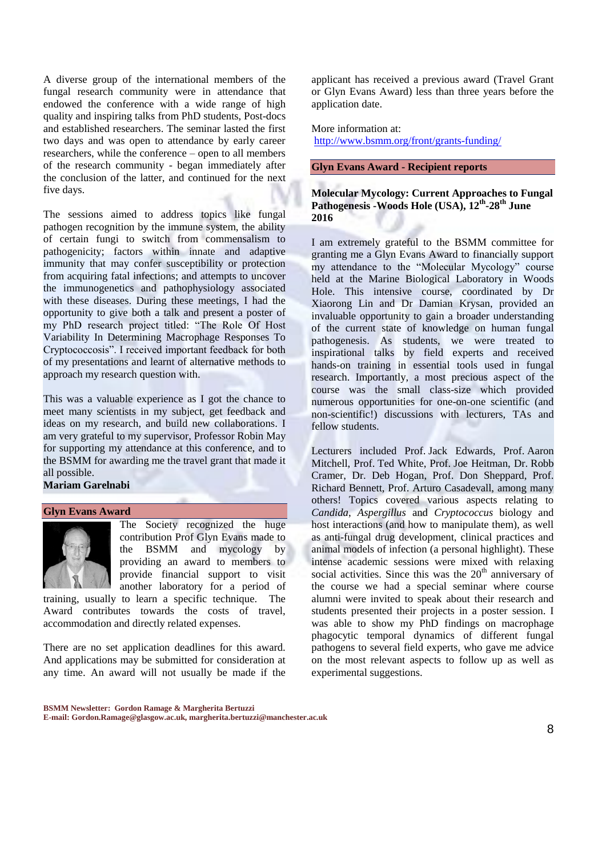A diverse group of the international members of the fungal research community were in attendance that endowed the conference with a wide range of high quality and inspiring talks from PhD students, Post-docs and established researchers. The seminar lasted the first two days and was open to attendance by early career researchers, while the conference – open to all members of the research community - began immediately after the conclusion of the latter, and continued for the next five days.

The sessions aimed to address topics like fungal pathogen recognition by the immune system, the ability of certain fungi to switch from commensalism to pathogenicity; factors within innate and adaptive immunity that may confer susceptibility or protection from acquiring fatal infections; and attempts to uncover the immunogenetics and pathophysiology associated with these diseases. During these meetings, I had the opportunity to give both a talk and present a poster of my PhD research project titled: "The Role Of Host Variability In Determining Macrophage Responses To Cryptococcosis". I received important feedback for both of my presentations and learnt of alternative methods to approach my research question with.

This was a valuable experience as I got the chance to meet many scientists in my subject, get feedback and ideas on my research, and build new collaborations. I am very grateful to my supervisor, Professor Robin May for supporting my attendance at this conference, and to the BSMM for awarding me the travel grant that made it all possible.

#### **Mariam Garelnabi**

#### **Glyn Evans Award**



The Society recognized the huge contribution Prof Glyn Evans made to the BSMM and mycology by providing an award to members to provide financial support to visit another laboratory for a period of

training, usually to learn a specific technique. The Award contributes towards the costs of travel, accommodation and directly related expenses.

There are no set application deadlines for this award. And applications may be submitted for consideration at any time. An award will not usually be made if the

applicant has received a previous award (Travel Grant or Glyn Evans Award) less than three years before the application date.

More information at: <http://www.bsmm.org/front/grants-funding/>

#### **Glyn Evans Award - Recipient reports**

**Molecular Mycology: Current Approaches to Fungal Pathogenesis -Woods Hole (USA), 12th -28th June 2016**

I am extremely grateful to the BSMM committee for granting me a Glyn Evans Award to financially support my attendance to the "Molecular Mycology" course held at the Marine Biological Laboratory in Woods Hole. This intensive course, coordinated by Dr Xiaorong Lin and Dr Damian Krysan, provided an invaluable opportunity to gain a broader understanding of the current state of knowledge on human fungal pathogenesis. As students, we were treated to inspirational talks by field experts and received hands-on training in essential tools used in fungal research. Importantly, a most precious aspect of the course was the small class-size which provided numerous opportunities for one-on-one scientific (and non-scientific!) discussions with lecturers, TAs and fellow students.

Lecturers included Prof. Jack Edwards, Prof. Aaron Mitchell, Prof. Ted White, Prof. Joe Heitman, Dr. Robb Cramer, Dr. Deb Hogan, Prof. Don Sheppard, Prof. Richard Bennett, Prof. Arturo Casadevall, among many others! Topics covered various aspects relating to *Candida*, *Aspergillus* and *Cryptococcus* biology and host interactions (and how to manipulate them), as well as anti-fungal drug development, clinical practices and animal models of infection (a personal highlight). These intense academic sessions were mixed with relaxing social activities. Since this was the  $20<sup>th</sup>$  anniversary of the course we had a special seminar where course alumni were invited to speak about their research and students presented their projects in a poster session. I was able to show my PhD findings on macrophage phagocytic temporal dynamics of different fungal pathogens to several field experts, who gave me advice on the most relevant aspects to follow up as well as experimental suggestions.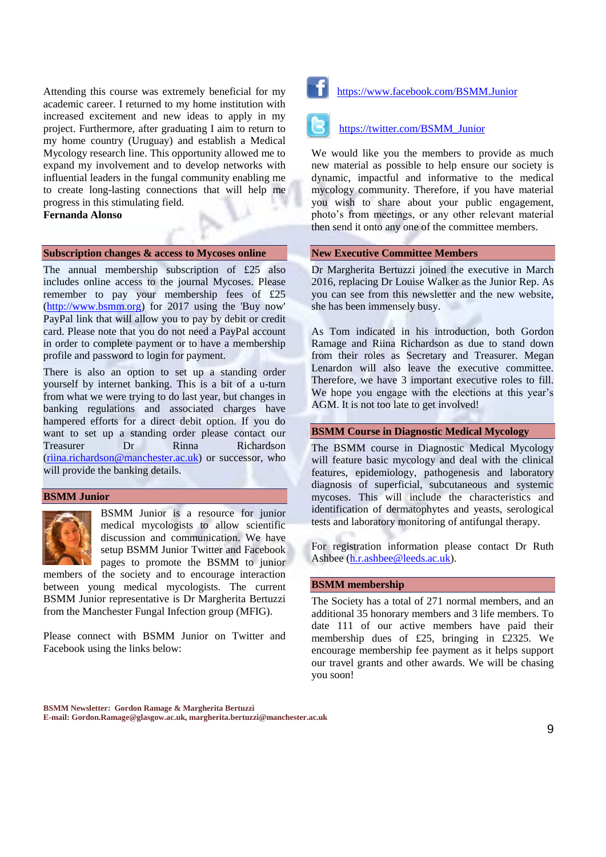Attending this course was extremely beneficial for my academic career. I returned to my home institution with increased excitement and new ideas to apply in my project. Furthermore, after graduating I aim to return to my home country (Uruguay) and establish a Medical Mycology research line. This opportunity allowed me to expand my involvement and to develop networks with influential leaders in the fungal community enabling me to create long-lasting connections that will help me progress in this stimulating field. **Fernanda Alonso**

#### **Subscription changes & access to Mycoses online**

The annual membership subscription of £25 also includes online access to the journal Mycoses. Please remember to pay your membership fees of £25 [\(http://www.bsmm.org\)](http://www.bsmm.org/) for 2017 using the 'Buy now' PayPal link that will allow you to pay by debit or credit card. Please note that you do not need a PayPal account in order to complete payment or to have a membership profile and password to login for payment.

There is also an option to set up a standing order yourself by internet banking. This is a bit of a u-turn from what we were trying to do last year, but changes in banking regulations and associated charges have hampered efforts for a direct debit option. If you do want to set up a standing order please contact our Treasurer Dr Rinna Richardson [\(riina.richardson@manchester.ac.uk\)](mailto:riina.richardson@manchester.ac.uk) or successor, who will provide the banking details.

#### **BSMM Junior**



BSMM Junior is a resource for junior medical mycologists to allow scientific discussion and communication. We have setup BSMM Junior Twitter and Facebook pages to promote the BSMM to junior

members of the society and to encourage interaction between young medical mycologists. The current BSMM Junior representative is Dr Margherita Bertuzzi from the Manchester Fungal Infection group (MFIG).

Please connect with BSMM Junior on Twitter and Facebook using the links below:



<https://www.facebook.com/BSMM.Junior>

#### [https://twitter.com/BSMM\\_Junior](https://twitter.com/BSMM_Junior)

We would like you the members to provide as much new material as possible to help ensure our society is dynamic, impactful and informative to the medical mycology community. Therefore, if you have material you wish to share about your public engagement, photo's from meetings, or any other relevant material then send it onto any one of the committee members.

#### **New Executive Committee Members**

Dr Margherita Bertuzzi joined the executive in March 2016, replacing Dr Louise Walker as the Junior Rep. As you can see from this newsletter and the new website, she has been immensely busy.

As Tom indicated in his introduction, both Gordon Ramage and Riina Richardson as due to stand down from their roles as Secretary and Treasurer. Megan Lenardon will also leave the executive committee. Therefore, we have 3 important executive roles to fill. We hope you engage with the elections at this year's AGM. It is not too late to get involved!

#### **BSMM Course in [Diagnostic Medical Mycology](http://www.bsmm.org/file/148#overlay-context=node/43/edit)**

The BSMM [course in Diagnostic Medical Mycology](http://www.bsmm.org/file/148#overlay-context=node/43/edit)  will feature basic mycology and deal with the clinical features, epidemiology, pathogenesis and laboratory diagnosis of superficial, subcutaneous and systemic mycoses. This will include the characteristics and identification of dermatophytes and yeasts, serological tests and laboratory monitoring of antifungal therapy.

For registration information please contact Dr Ruth Ashbee [\(h.r.ashbee@leeds.ac.uk\)](mailto:H.R.Ashbee@leeds.ac.uk).

#### **BSMM membership**

The Society has a total of 271 normal members, and an additional 35 honorary members and 3 life members. To date 111 of our active members have paid their membership dues of £25, bringing in £2325. We encourage membership fee payment as it helps support our travel grants and other awards. We will be chasing you soon!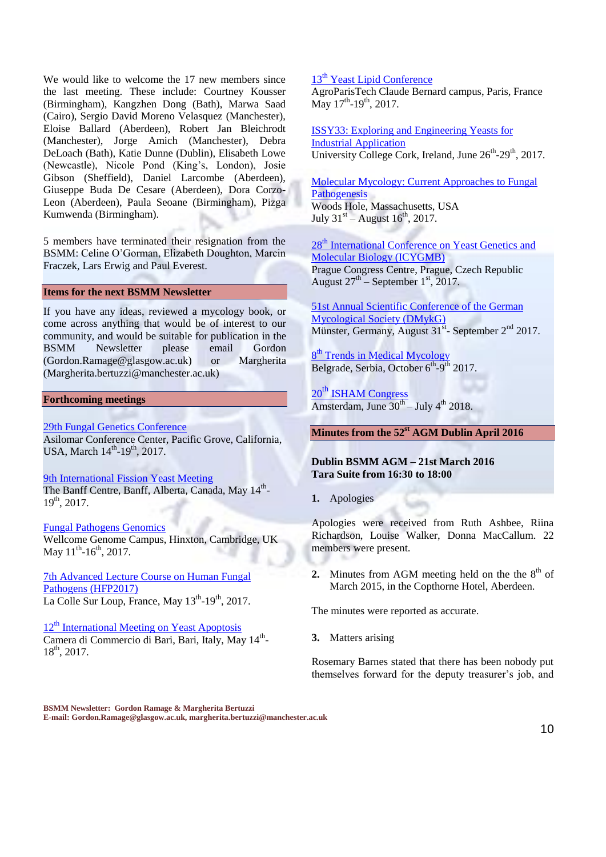We would like to welcome the 17 new members since the last meeting. These include: Courtney Kousser (Birmingham), Kangzhen Dong (Bath), Marwa Saad (Cairo), Sergio David Moreno Velasquez (Manchester), Eloise Ballard (Aberdeen), Robert Jan Bleichrodt (Manchester), Jorge Amich (Manchester), Debra DeLoach (Bath), Katie Dunne (Dublin), Elisabeth Lowe (Newcastle), Nicole Pond (King's, London), Josie Gibson (Sheffield), Daniel Larcombe (Aberdeen), Giuseppe Buda De Cesare (Aberdeen), Dora Corzo-Leon (Aberdeen), Paula Seoane (Birmingham), Pizga Kumwenda (Birmingham).

5 members have terminated their resignation from the BSMM: Celine O'Gorman, Elizabeth Doughton, Marcin Fraczek, Lars Erwig and Paul Everest.

#### **Items for the next BSMM Newsletter**

If you have any ideas, reviewed a mycology book, or come across anything that would be of interest to our community, and would be suitable for publication in the BSMM Newsletter please email Gordon (Gordon.Ramage@glasgow.ac.uk) or Margherita (Margherita.bertuzzi@manchester.ac.uk)

#### **Forthcoming meetings**

[29th Fungal Genetics Conference](http://www.genetics-gsa.org/fungal/2017/) Asilomar Conference Center, Pacific Grove, California, USA, March  $14^{th}$ -19<sup>th</sup>, 2017.

[9th International Fission Yeast Meeting](http://www.pombe2017.com/) The Banff Centre, Banff, Alberta, Canada, May 14<sup>th</sup>- $19^{th}$ , 2017.

#### [Fungal Pathogens Genomics](https://coursesandconferences.wellcomegenomecampus.org/events/item.aspx?e=629)

Wellcome Genome Campus, Hinxton, Cambridge, UK May  $11^{\text{th}}$ -16<sup>th</sup>, 2017.

[7th Advanced Lecture Course on Human Fungal](http://www.abdn.ac.uk/hfp2017)  [Pathogens \(HFP2017\)](http://www.abdn.ac.uk/hfp2017) La Colle Sur Loup, France, May 13<sup>th</sup>-19<sup>th</sup>, 2017.

 $12<sup>th</sup>$  [International Meeting on Yeast Apoptosis](https://imya12.azuleon.org/welcome.php) Camera di Commercio di Bari, Bari, Italy, May 14<sup>th</sup>- $18^{th}$ , 2017.

#### 13<sup>th</sup> [Yeast Lipid Conference](http://www.yeastlipidconference.com/next-ylc-2017.html)

AgroParisTech Claude Bernard campus, Paris, France May  $17^{\text{th}}$ -19<sup>th</sup>, 2017.

[ISSY33: Exploring and Engineering Yeasts for](http://www.microbiologysociety.org/events/event-listing/index.cfm/issy33)  [Industrial Application](http://www.microbiologysociety.org/events/event-listing/index.cfm/issy33) University College Cork, Ireland, June 26<sup>th</sup>-29<sup>th</sup>, 2017.

[Molecular Mycology: Current Approaches to Fungal](http://www.mbl.edu/education/special-topics-courses/molecular-mycology-current-approaches-to-fungal-pathogenesis/)  **[Pathogenesis](http://www.mbl.edu/education/special-topics-courses/molecular-mycology-current-approaches-to-fungal-pathogenesis/)** Woods Hole, Massachusetts, USA July  $31^{st}$  – August  $16^{th}$ , 2017.

28<sup>th</sup> International Conference on Yeast Genetics and [Molecular Biology \(ICYGMB\)](http://www.yeast2017.cz/) Prague Congress Centre, Prague, Czech Republic August  $27<sup>th</sup>$  – September 1<sup>st</sup>, 2017.

[51st Annual Scientific Conference of the German](http://www.dmykg-kongress.de/en/)  [Mycological Society \(DMykG\)](http://www.dmykg-kongress.de/en/) Münster, Germany, August  $31<sup>st</sup>$ - September  $2<sup>nd</sup>$  2017.

8<sup>th</sup> [Trends in Medical Mycology](https://www.timm2017.org/en/Home_10_6_12.html) Belgrade, Serbia, October 6<sup>th</sup>-9<sup>th</sup> 2017.

20<sup>th</sup> [ISHAM Congress](https://www.isham2018.org/en/Home_10_6_12.html) Amsterdam, June  $30^{th}$  – July 4<sup>th</sup> 2018.

#### **Minutes from the 52 st AGM Dublin April 2016**

#### **Dublin BSMM AGM – 21st March 2016 Tara Suite from 16:30 to 18:00**

**1.** Apologies

Apologies were received from Ruth Ashbee, Riina Richardson, Louise Walker, Donna MacCallum. 22 members were present.

**2.** Minutes from AGM meeting held on the the  $8<sup>th</sup>$  of March 2015, in the Copthorne Hotel, Aberdeen.

The minutes were reported as accurate.

**3.** Matters arising

Rosemary Barnes stated that there has been nobody put themselves forward for the deputy treasurer's job, and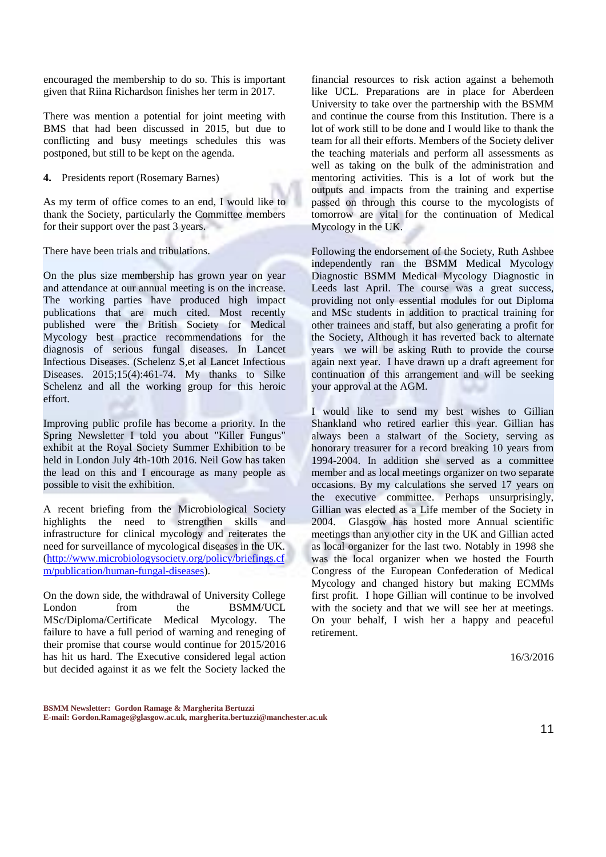encouraged the membership to do so. This is important given that Riina Richardson finishes her term in 2017.

There was mention a potential for joint meeting with BMS that had been discussed in 2015, but due to conflicting and busy meetings schedules this was postponed, but still to be kept on the agenda.

**4.** Presidents report (Rosemary Barnes)

As my term of office comes to an end, I would like to thank the Society, particularly the Committee members for their support over the past 3 years.

There have been trials and tribulations.

On the plus size membership has grown year on year and attendance at our annual meeting is on the increase. The working parties have produced high impact publications that are much cited. Most recently published were the British Society for Medical Mycology best practice recommendations for the diagnosis of serious fungal diseases. In Lancet Infectious Diseases. (Schelenz S,et al Lancet Infectious Diseases. 2015;15(4):461-74. My thanks to Silke Schelenz and all the working group for this heroic effort.

Improving public profile has become a priority. In the Spring Newsletter I told you about "Killer Fungus" exhibit at the Royal Society Summer Exhibition to be held in London July 4th-10th 2016. Neil Gow has taken the lead on this and I encourage as many people as possible to visit the exhibition.

A recent briefing from the Microbiological Society highlights the need to strengthen skills and infrastructure for clinical mycology and reiterates the need for surveillance of mycological diseases in the UK. [\(http://www.microbiologysociety.org/policy/briefings.cf](http://www.microbiologysociety.org/policy/briefings.cfm/publication/human-fungal-diseases) [m/publication/human-fungal-diseases\)](http://www.microbiologysociety.org/policy/briefings.cfm/publication/human-fungal-diseases).

On the down side, the withdrawal of University College London from the BSMM/UCL MSc/Diploma/Certificate Medical Mycology. The failure to have a full period of warning and reneging of their promise that course would continue for 2015/2016 has hit us hard. The Executive considered legal action but decided against it as we felt the Society lacked the

financial resources to risk action against a behemoth like UCL. Preparations are in place for Aberdeen University to take over the partnership with the BSMM and continue the course from this Institution. There is a lot of work still to be done and I would like to thank the team for all their efforts. Members of the Society deliver the teaching materials and perform all assessments as well as taking on the bulk of the administration and mentoring activities. This is a lot of work but the outputs and impacts from the training and expertise passed on through this course to the mycologists of tomorrow are vital for the continuation of Medical Mycology in the UK.

Following the endorsement of the Society, Ruth Ashbee independently ran the BSMM Medical Mycology Diagnostic BSMM Medical Mycology Diagnostic in Leeds last April. The course was a great success, providing not only essential modules for out Diploma and MSc students in addition to practical training for other trainees and staff, but also generating a profit for the Society, Although it has reverted back to alternate years we will be asking Ruth to provide the course again next year. I have drawn up a draft agreement for continuation of this arrangement and will be seeking your approval at the AGM.

I would like to send my best wishes to Gillian Shankland who retired earlier this year. Gillian has always been a stalwart of the Society, serving as honorary treasurer for a record breaking 10 years from 1994-2004. In addition she served as a committee member and as local meetings organizer on two separate occasions. By my calculations she served 17 years on the executive committee. Perhaps unsurprisingly, Gillian was elected as a Life member of the Society in 2004. Glasgow has hosted more Annual scientific meetings than any other city in the UK and Gillian acted as local organizer for the last two. Notably in 1998 she was the local organizer when we hosted the Fourth Congress of the European Confederation of Medical Mycology and changed history but making ECMMs first profit. I hope Gillian will continue to be involved with the society and that we will see her at meetings. On your behalf, I wish her a happy and peaceful retirement.

16/3/2016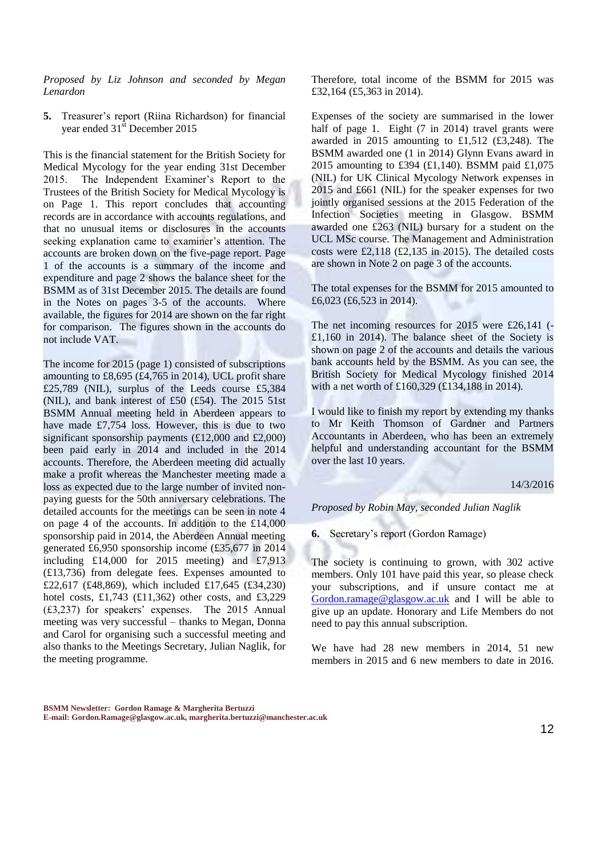*Proposed by Liz Johnson and seconded by Megan Lenardon*

**5.** Treasurer's report (Riina Richardson) for financial year ended 31<sup>st</sup> December 2015

This is the financial statement for the British Society for Medical Mycology for the year ending 31st December 2015. The Independent Examiner's Report to the Trustees of the British Society for Medical Mycology is on Page 1. This report concludes that accounting records are in accordance with accounts regulations, and that no unusual items or disclosures in the accounts seeking explanation came to examiner's attention. The accounts are broken down on the five-page report. Page 1 of the accounts is a summary of the income and expenditure and page 2 shows the balance sheet for the BSMM as of 31st December 2015. The details are found in the Notes on pages 3-5 of the accounts. Where available, the figures for 2014 are shown on the far right for comparison. The figures shown in the accounts do not include VAT.

The income for 2015 (page 1) consisted of subscriptions amounting to £8,695 (£4,765 in 2014), UCL profit share £25,789 (NIL), surplus of the Leeds course £5,384 (NIL), and bank interest of £50 (£54). The 2015 51st BSMM Annual meeting held in Aberdeen appears to have made £7,754 loss. However, this is due to two significant sponsorship payments (£12,000 and £2,000) been paid early in 2014 and included in the 2014 accounts. Therefore, the Aberdeen meeting did actually make a profit whereas the Manchester meeting made a loss as expected due to the large number of invited nonpaying guests for the 50th anniversary celebrations. The detailed accounts for the meetings can be seen in note 4 on page 4 of the accounts. In addition to the £14,000 sponsorship paid in 2014, the Aberdeen Annual meeting generated £6,950 sponsorship income (£35,677 in 2014 including £14,000 for 2015 meeting) and £7,913 (£13,736) from delegate fees. Expenses amounted to £22,617 (£48,869), which included £17,645 (£34,230) hotel costs, £1,743 (£11,362) other costs, and £3,229 (£3,237) for speakers' expenses. The 2015 Annual meeting was very successful – thanks to Megan, Donna and Carol for organising such a successful meeting and also thanks to the Meetings Secretary, Julian Naglik, for the meeting programme.

Therefore, total income of the BSMM for 2015 was £32,164 (£5,363 in 2014).

Expenses of the society are summarised in the lower half of page 1. Eight (7 in 2014) travel grants were awarded in 2015 amounting to £1,512 (£3,248). The BSMM awarded one (1 in 2014) Glynn Evans award in 2015 amounting to £394 (£1,140). BSMM paid £1,075 (NIL) for UK Clinical Mycology Network expenses in 2015 and £661 (NIL) for the speaker expenses for two jointly organised sessions at the 2015 Federation of the Infection Societies meeting in Glasgow. BSMM awarded one £263 (NIL) bursary for a student on the UCL MSc course. The Management and Administration costs were £2,118 (£2,135 in 2015). The detailed costs are shown in Note 2 on page 3 of the accounts.

The total expenses for the BSMM for 2015 amounted to £6,023 (£6,523 in 2014).

The net incoming resources for 2015 were £26,141 (- £1,160 in 2014). The balance sheet of the Society is shown on page 2 of the accounts and details the various bank accounts held by the BSMM. As you can see, the British Society for Medical Mycology finished 2014 with a net worth of £160,329 (£134,188 in 2014).

I would like to finish my report by extending my thanks to Mr Keith Thomson of Gardner and Partners Accountants in Aberdeen, who has been an extremely helpful and understanding accountant for the BSMM over the last 10 years.

#### 14/3/2016

*Proposed by Robin May, seconded Julian Naglik*

**6.** Secretary's report (Gordon Ramage)

The society is continuing to grown, with 302 active members. Only 101 have paid this year, so please check your subscriptions, and if unsure contact me at [Gordon.ramage@glasgow.ac.uk](mailto:Gordon.ramage@glasgow.ac.uk) and I will be able to give up an update. Honorary and Life Members do not need to pay this annual subscription.

We have had 28 new members in 2014, 51 new members in 2015 and 6 new members to date in 2016.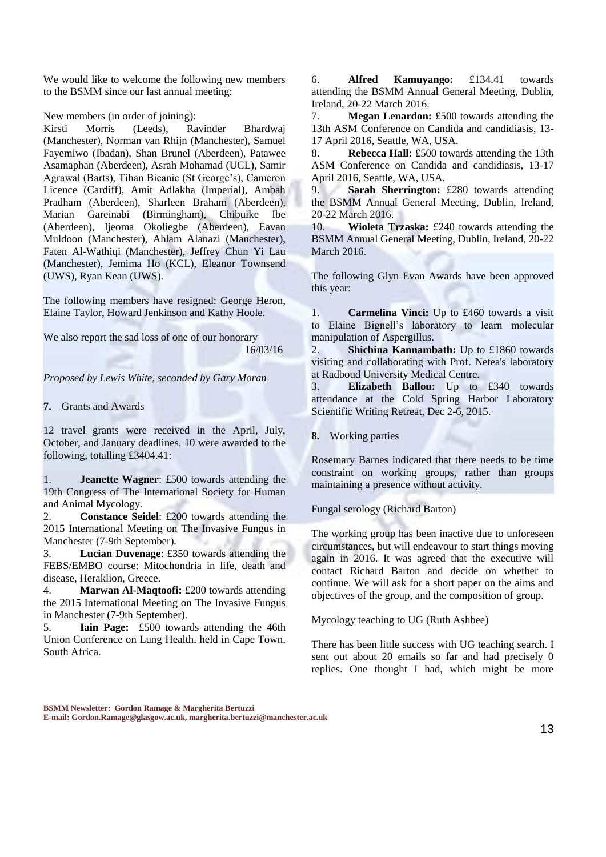We would like to welcome the following new members to the BSMM since our last annual meeting:

New members (in order of joining):

Kirsti Morris (Leeds), Ravinder Bhardwaj (Manchester), Norman van Rhijn (Manchester), Samuel Fayemiwo (Ibadan), Shan Brunel (Aberdeen), Patawee Asamaphan (Aberdeen), Asrah Mohamad (UCL), Samir Agrawal (Barts), Tihan Bicanic (St George's), Cameron Licence (Cardiff), Amit Adlakha (Imperial), Ambah Pradham (Aberdeen), Sharleen Braham (Aberdeen), Marian Gareinabi (Birmingham), Chibuike Ibe (Aberdeen), Ijeoma Okoliegbe (Aberdeen), Eavan Muldoon (Manchester), Ahlam Alanazi (Manchester), Faten Al-Wathiqi (Manchester), Jeffrey Chun Yi Lau (Manchester), Jemima Ho (KCL), Eleanor Townsend (UWS), Ryan Kean (UWS).

The following members have resigned: George Heron, Elaine Taylor, Howard Jenkinson and Kathy Hoole.

We also report the sad loss of one of our honorary 16/03/16

*Proposed by Lewis White, seconded by Gary Moran*

**7.** Grants and Awards

12 travel grants were received in the April, July, October, and January deadlines. 10 were awarded to the following, totalling £3404.41:

1. **Jeanette Wagner**: £500 towards attending the 19th Congress of The International Society for Human and Animal Mycology.

2. **Constance Seidel**: £200 towards attending the 2015 International Meeting on The Invasive Fungus in Manchester (7-9th September).

3. **Lucian Duvenage**: £350 towards attending the FEBS/EMBO course: Mitochondria in life, death and disease, Heraklion, Greece.

4. **Marwan Al-Maqtoofi:** £200 towards attending the 2015 International Meeting on The Invasive Fungus in Manchester (7-9th September).

5. **Iain Page:** £500 towards attending the 46th Union Conference on Lung Health, held in Cape Town, South Africa.

6. **Alfred Kamuyango:** £134.41 towards attending the BSMM Annual General Meeting, Dublin, Ireland, 20-22 March 2016.

7. **Megan Lenardon:** £500 towards attending the 13th ASM Conference on Candida and candidiasis, 13- 17 April 2016, Seattle, WA, USA.

8. **Rebecca Hall:** £500 towards attending the 13th ASM Conference on Candida and candidiasis, 13-17 April 2016, Seattle, WA, USA.

9. **Sarah Sherrington:** £280 towards attending the BSMM Annual General Meeting, Dublin, Ireland, 20-22 March 2016.

10. **Wioleta Trzaska:** £240 towards attending the BSMM Annual General Meeting, Dublin, Ireland, 20-22 March 2016.

The following Glyn Evan Awards have been approved this year:

1. **Carmelina Vinci:** Up to £460 towards a visit to Elaine Bignell's laboratory to learn molecular manipulation of Aspergillus.

2. **Shichina Kannambath:** Up to £1860 towards visiting and collaborating with Prof. Netea's laboratory at Radboud University Medical Centre.

3. **Elizabeth Ballou:** Up to £340 towards attendance at the Cold Spring Harbor Laboratory Scientific Writing Retreat, Dec 2-6, 2015.

**8.** Working parties

Rosemary Barnes indicated that there needs to be time constraint on working groups, rather than groups maintaining a presence without activity.

Fungal serology (Richard Barton)

The working group has been inactive due to unforeseen circumstances, but will endeavour to start things moving again in 2016. It was agreed that the executive will contact Richard Barton and decide on whether to continue. We will ask for a short paper on the aims and objectives of the group, and the composition of group.

Mycology teaching to UG (Ruth Ashbee)

There has been little success with UG teaching search. I sent out about 20 emails so far and had precisely 0 replies. One thought I had, which might be more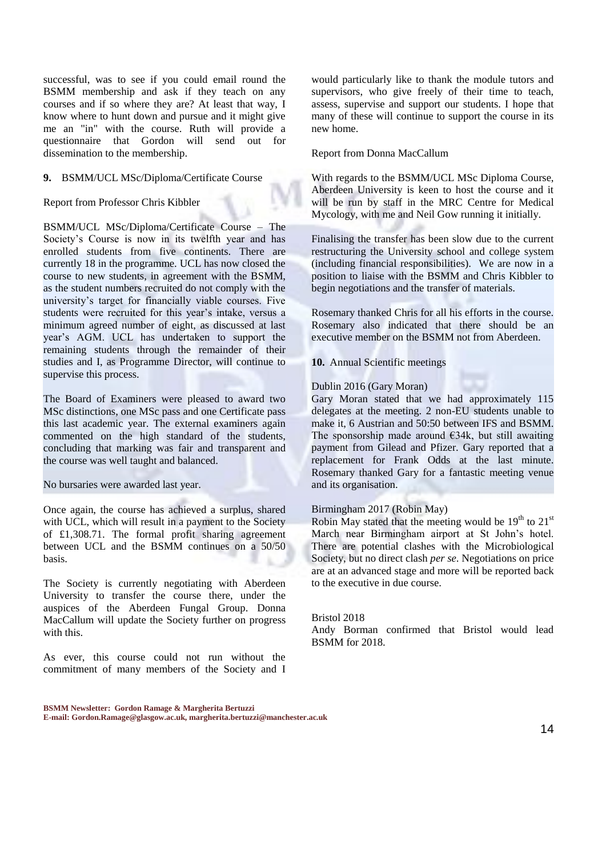successful, was to see if you could email round the BSMM membership and ask if they teach on any courses and if so where they are? At least that way, I know where to hunt down and pursue and it might give me an "in" with the course. Ruth will provide a questionnaire that Gordon will send out for dissemination to the membership.

#### **9.** BSMM/UCL MSc/Diploma/Certificate Course

Report from Professor Chris Kibbler

BSMM/UCL MSc/Diploma/Certificate Course – The Society's Course is now in its twelfth year and has enrolled students from five continents. There are currently 18 in the programme. UCL has now closed the course to new students, in agreement with the BSMM, as the student numbers recruited do not comply with the university's target for financially viable courses. Five students were recruited for this year's intake, versus a minimum agreed number of eight, as discussed at last year's AGM. UCL has undertaken to support the remaining students through the remainder of their studies and I, as Programme Director, will continue to supervise this process.

The Board of Examiners were pleased to award two MSc distinctions, one MSc pass and one Certificate pass this last academic year. The external examiners again commented on the high standard of the students, concluding that marking was fair and transparent and the course was well taught and balanced.

No bursaries were awarded last year.

Once again, the course has achieved a surplus, shared with UCL, which will result in a payment to the Society of £1,308.71. The formal profit sharing agreement between UCL and the BSMM continues on a 50/50 basis.

The Society is currently negotiating with Aberdeen University to transfer the course there, under the auspices of the Aberdeen Fungal Group. Donna MacCallum will update the Society further on progress with this.

As ever, this course could not run without the commitment of many members of the Society and I

would particularly like to thank the module tutors and supervisors, who give freely of their time to teach, assess, supervise and support our students. I hope that many of these will continue to support the course in its new home.

#### Report from Donna MacCallum

With regards to the BSMM/UCL MSc Diploma Course, Aberdeen University is keen to host the course and it will be run by staff in the MRC Centre for Medical Mycology, with me and Neil Gow running it initially.

Finalising the transfer has been slow due to the current restructuring the University school and college system (including financial responsibilities). We are now in a position to liaise with the BSMM and Chris Kibbler to begin negotiations and the transfer of materials.

Rosemary thanked Chris for all his efforts in the course. Rosemary also indicated that there should be an executive member on the BSMM not from Aberdeen.

**10.** Annual Scientific meetings

#### Dublin 2016 (Gary Moran)

Gary Moran stated that we had approximately 115 delegates at the meeting. 2 non-EU students unable to make it, 6 Austrian and 50:50 between IFS and BSMM. The sponsorship made around  $\epsilon$ 34k, but still awaiting payment from Gilead and Pfizer. Gary reported that a replacement for Frank Odds at the last minute. Rosemary thanked Gary for a fantastic meeting venue and its organisation.

#### Birmingham 2017 (Robin May)

Robin May stated that the meeting would be  $19<sup>th</sup>$  to  $21<sup>st</sup>$ March near Birmingham airport at St John's hotel. There are potential clashes with the Microbiological Society, but no direct clash *per se*. Negotiations on price are at an advanced stage and more will be reported back to the executive in due course.

#### Bristol 2018

Andy Borman confirmed that Bristol would lead BSMM for 2018.